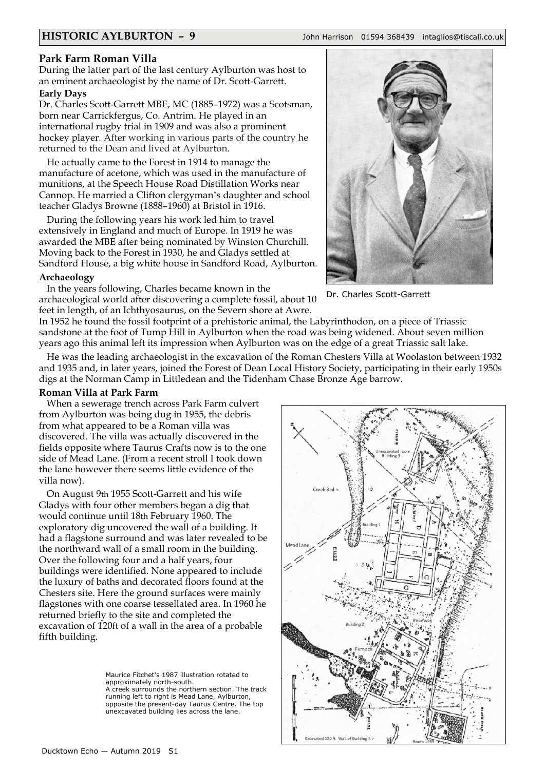**HISTORIC AYLBURTON – 9** John Harrison 01594 368439 intaglios@tiscali.co.uk

## **Park Farm Roman Villa**

During the latter part of the last century Aylburton was host to an eminent archaeologist by the name of Dr. Scott-Garrett. **Early Days**

Dr. Charles Scott-Garrett MBE, MC (1885–1972) was a Scotsman, born near Carrickfergus, Co. Antrim. He played in an international rugby trial in 1909 and was also a prominent hockey player. After working in various parts of the country he returned to the Dean and lived at Aylburton.

He actually came to the Forest in 1914 to manage the manufacture of acetone, which was used in the manufacture of munitions, at the Speech House Road Distillation Works near Cannop. He married a Clifton clergyman's daughter and school teacher Gladys Browne (1888–1960) at Bristol in 1916.

During the following years his work led him to travel extensively in England and much of Europe. In 1919 he was awarded the MBE after being nominated by Winston Churchill. Moving back to the Forest in 1930, he and Gladys settled at Sandford House, a big white house in Sandford Road, Aylburton.

#### **Archaeology**

In the years following, Charles became known in the archaeological world after discovering a complete fossil, about 10 feet in length, of an Ichthyosaurus, on the Severn shore at Awre.



Dr. Charles Scott-Garrett

In 1952 he found the fossil footprint of a prehistoric animal, the Labyrinthodon, on a piece of Triassic sandstone at the foot of Tump Hill in Aylburton when the road was being widened. About seven million years ago this animal left its impression when Aylburton was on the edge of a great Triassic salt lake.

He was the leading archaeologist in the excavation of the Roman Chesters Villa at Woolaston between 1932 and 1935 and, in later years, joined the Forest of Dean Local History Society, participating in their early 1950s digs at the Norman Camp in Littledean and the Tidenham Chase Bronze Age barrow.

## **Roman Villa at Park Farm**

When a sewerage trench across Park Farm culvert from Aylburton was being dug in 1955, the debris from what appeared to be a Roman villa was discovered. The villa was actually discovered in the fields opposite where Taurus Crafts now is to the one side of Mead Lane. (From a recent stroll I took down the lane however there seems little evidence of the villa now).

On August 9th 1955 Scott-Garrett and his wife Gladys with four other members began a dig that would continue until 18th February 1960. The exploratory dig uncovered the wall of a building. It had a flagstone surround and was later revealed to be the northward wall of a small room in the building. Over the following four and a half years, four buildings were identified. None appeared to include the luxury of baths and decorated floors found at the Chesters site. Here the ground surfaces were mainly flagstones with one coarse tessellated area. In 1960 he returned briefly to the site and completed the excavation of 120ft of a wall in the area of a probable fifth building.

> Maurice Fitchet's 1987 illustration rotated to approximately north-south. A creek surrounds the northern section. The track running left to right is Mead Lane, Aylburton, opposite the present-day Taurus Centre. The top unexcavated building lies across the lane.